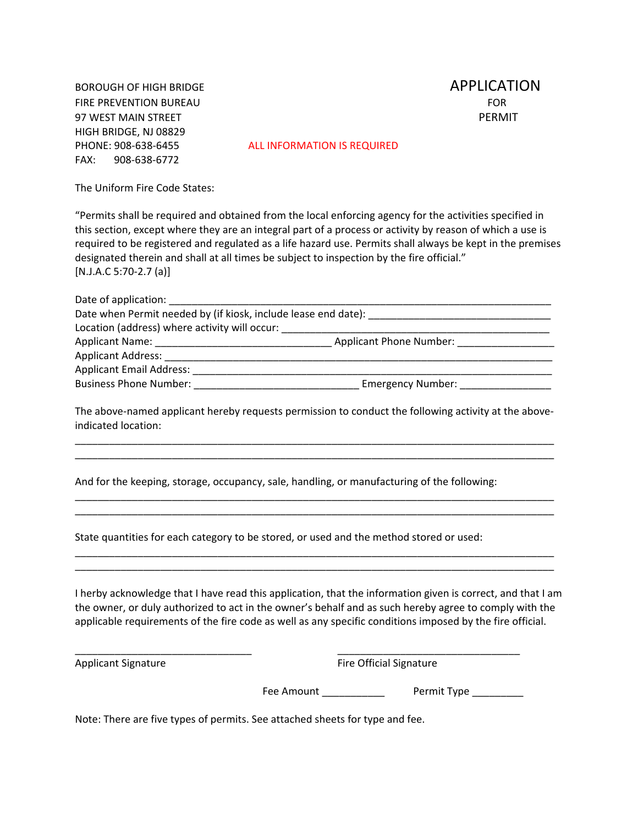BOROUGH OF HIGH BRIDGE **BOROUGH OF HIGH BRIDGE** FIRE PREVENTION BUREAU FOR 97 WEST MAIN STREET PERMIT HIGH BRIDGE, NJ 08829 FAX: 908‐638‐6772

PHONE: 908‐638‐6455 ALL INFORMATION IS REQUIRED

The Uniform Fire Code States:

"Permits shall be required and obtained from the local enforcing agency for the activities specified in this section, except where they are an integral part of a process or activity by reason of which a use is required to be registered and regulated as a life hazard use. Permits shall always be kept in the premises designated therein and shall at all times be subject to inspection by the fire official." [N.J.A.C 5:70‐2.7 (a)]

| Date of application: The same of application:                                                                |                                |  |
|--------------------------------------------------------------------------------------------------------------|--------------------------------|--|
| Date when Permit needed by (if kiosk, include lease end date):                                               |                                |  |
| Location (address) where activity will occur:                                                                |                                |  |
| Applicant Name:<br>the control of the control of the control of the control of the control of the control of | <b>Applicant Phone Number:</b> |  |
| <b>Applicant Address:</b>                                                                                    |                                |  |
| <b>Applicant Email Address:</b>                                                                              |                                |  |
| <b>Business Phone Number:</b>                                                                                | <b>Emergency Number:</b>       |  |

The above-named applicant hereby requests permission to conduct the following activity at the aboveindicated location:

\_\_\_\_\_\_\_\_\_\_\_\_\_\_\_\_\_\_\_\_\_\_\_\_\_\_\_\_\_\_\_\_\_\_\_\_\_\_\_\_\_\_\_\_\_\_\_\_\_\_\_\_\_\_\_\_\_\_\_\_\_\_\_\_\_\_\_\_\_\_\_\_\_\_\_\_\_\_\_\_\_\_\_\_ \_\_\_\_\_\_\_\_\_\_\_\_\_\_\_\_\_\_\_\_\_\_\_\_\_\_\_\_\_\_\_\_\_\_\_\_\_\_\_\_\_\_\_\_\_\_\_\_\_\_\_\_\_\_\_\_\_\_\_\_\_\_\_\_\_\_\_\_\_\_\_\_\_\_\_\_\_\_\_\_\_\_\_\_

\_\_\_\_\_\_\_\_\_\_\_\_\_\_\_\_\_\_\_\_\_\_\_\_\_\_\_\_\_\_\_\_\_\_\_\_\_\_\_\_\_\_\_\_\_\_\_\_\_\_\_\_\_\_\_\_\_\_\_\_\_\_\_\_\_\_\_\_\_\_\_\_\_\_\_\_\_\_\_\_\_\_\_\_ \_\_\_\_\_\_\_\_\_\_\_\_\_\_\_\_\_\_\_\_\_\_\_\_\_\_\_\_\_\_\_\_\_\_\_\_\_\_\_\_\_\_\_\_\_\_\_\_\_\_\_\_\_\_\_\_\_\_\_\_\_\_\_\_\_\_\_\_\_\_\_\_\_\_\_\_\_\_\_\_\_\_\_\_

\_\_\_\_\_\_\_\_\_\_\_\_\_\_\_\_\_\_\_\_\_\_\_\_\_\_\_\_\_\_\_\_\_\_\_\_\_\_\_\_\_\_\_\_\_\_\_\_\_\_\_\_\_\_\_\_\_\_\_\_\_\_\_\_\_\_\_\_\_\_\_\_\_\_\_\_\_\_\_\_\_\_\_\_ \_\_\_\_\_\_\_\_\_\_\_\_\_\_\_\_\_\_\_\_\_\_\_\_\_\_\_\_\_\_\_\_\_\_\_\_\_\_\_\_\_\_\_\_\_\_\_\_\_\_\_\_\_\_\_\_\_\_\_\_\_\_\_\_\_\_\_\_\_\_\_\_\_\_\_\_\_\_\_\_\_\_\_\_

And for the keeping, storage, occupancy, sale, handling, or manufacturing of the following:

State quantities for each category to be stored, or used and the method stored or used:

I herby acknowledge that I have read this application, that the information given is correct, and that I am the owner, or duly authorized to act in the owner's behalf and as such hereby agree to comply with the applicable requirements of the fire code as well as any specific conditions imposed by the fire official.

\_\_\_\_\_\_\_\_\_\_\_\_\_\_\_\_\_\_\_\_\_\_\_\_\_\_\_\_\_\_\_ \_\_\_\_\_\_\_\_\_\_\_\_\_\_\_\_\_\_\_\_\_\_\_\_\_\_\_\_\_\_\_\_

Applicant Signature *Applicant Signature*  **Example 2** Fire Official Signature

Fee Amount \_\_\_\_\_\_\_\_\_\_\_\_\_\_\_\_\_\_ Permit Type \_\_\_\_\_\_\_\_\_\_

Note: There are five types of permits. See attached sheets for type and fee.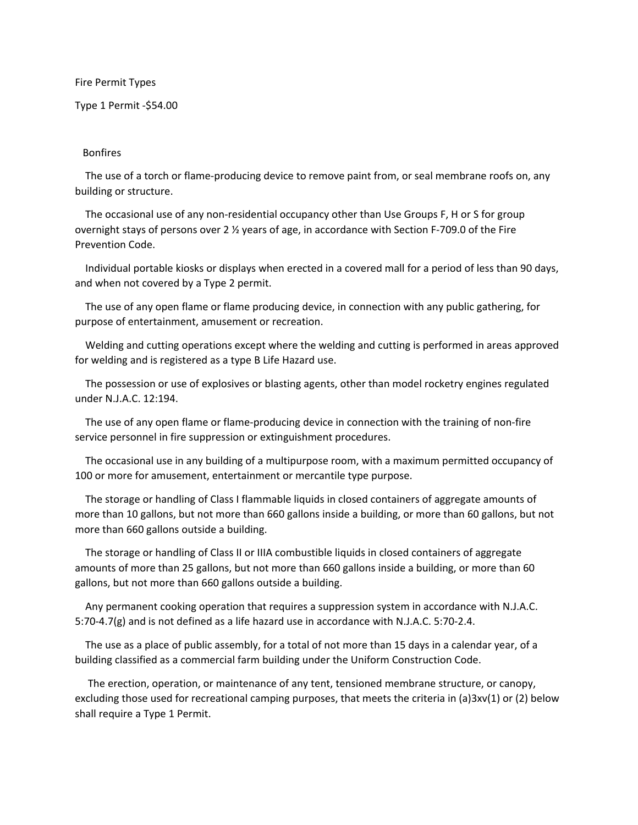Fire Permit Types

Type 1 Permit ‐\$54.00

## Bonfires

 The use of a torch or flame‐producing device to remove paint from, or seal membrane roofs on, any building or structure.

The occasional use of any non-residential occupancy other than Use Groups F, H or S for group overnight stays of persons over 2 ½ years of age, in accordance with Section F‐709.0 of the Fire Prevention Code.

 Individual portable kiosks or displays when erected in a covered mall for a period of less than 90 days, and when not covered by a Type 2 permit.

 The use of any open flame or flame producing device, in connection with any public gathering, for purpose of entertainment, amusement or recreation.

 Welding and cutting operations except where the welding and cutting is performed in areas approved for welding and is registered as a type B Life Hazard use.

 The possession or use of explosives or blasting agents, other than model rocketry engines regulated under N.J.A.C. 12:194.

 The use of any open flame or flame‐producing device in connection with the training of non‐fire service personnel in fire suppression or extinguishment procedures.

 The occasional use in any building of a multipurpose room, with a maximum permitted occupancy of 100 or more for amusement, entertainment or mercantile type purpose.

 The storage or handling of Class I flammable liquids in closed containers of aggregate amounts of more than 10 gallons, but not more than 660 gallons inside a building, or more than 60 gallons, but not more than 660 gallons outside a building.

 The storage or handling of Class II or IIIA combustible liquids in closed containers of aggregate amounts of more than 25 gallons, but not more than 660 gallons inside a building, or more than 60 gallons, but not more than 660 gallons outside a building.

 Any permanent cooking operation that requires a suppression system in accordance with N.J.A.C. 5:70-4.7(g) and is not defined as a life hazard use in accordance with N.J.A.C. 5:70-2.4.

 The use as a place of public assembly, for a total of not more than 15 days in a calendar year, of a building classified as a commercial farm building under the Uniform Construction Code.

 The erection, operation, or maintenance of any tent, tensioned membrane structure, or canopy, excluding those used for recreational camping purposes, that meets the criteria in (a)3xv(1) or (2) below shall require a Type 1 Permit.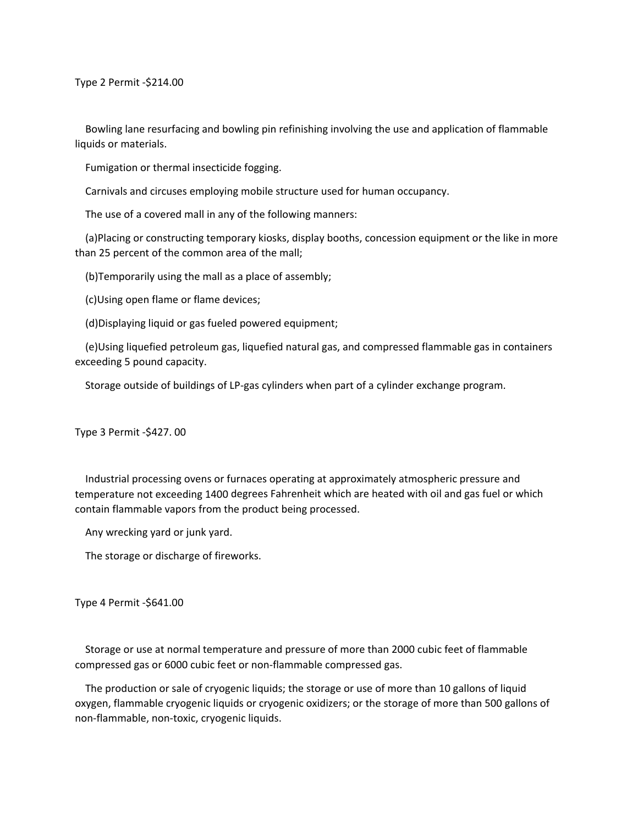Type 2 Permit ‐\$214.00

 Bowling lane resurfacing and bowling pin refinishing involving the use and application of flammable liquids or materials.

Fumigation or thermal insecticide fogging.

Carnivals and circuses employing mobile structure used for human occupancy.

The use of a covered mall in any of the following manners:

 (a)Placing or constructing temporary kiosks, display booths, concession equipment or the like in more than 25 percent of the common area of the mall;

(b)Temporarily using the mall as a place of assembly;

(c)Using open flame or flame devices;

(d)Displaying liquid or gas fueled powered equipment;

 (e)Using liquefied petroleum gas, liquefied natural gas, and compressed flammable gas in containers exceeding 5 pound capacity.

Storage outside of buildings of LP‐gas cylinders when part of a cylinder exchange program.

Type 3 Permit ‐\$427. 00

 Industrial processing ovens or furnaces operating at approximately atmospheric pressure and temperature not exceeding 1400 degrees Fahrenheit which are heated with oil and gas fuel or which contain flammable vapors from the product being processed.

Any wrecking yard or junk yard.

The storage or discharge of fireworks.

Type 4 Permit ‐\$641.00

 Storage or use at normal temperature and pressure of more than 2000 cubic feet of flammable compressed gas or 6000 cubic feet or non‐flammable compressed gas.

 The production or sale of cryogenic liquids; the storage or use of more than 10 gallons of liquid oxygen, flammable cryogenic liquids or cryogenic oxidizers; or the storage of more than 500 gallons of non‐flammable, non‐toxic, cryogenic liquids.